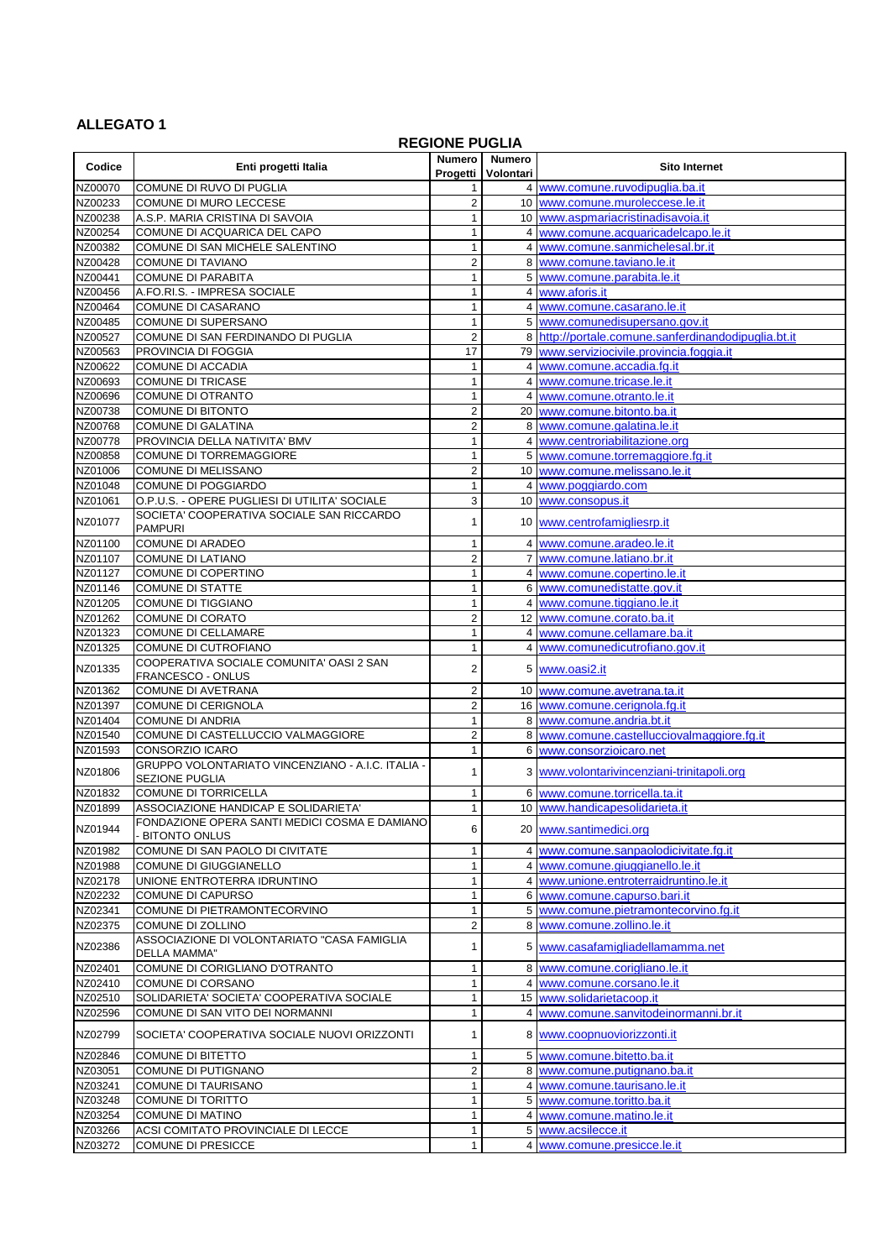## **ALLEGATO 1**

## **REGIONE PUGLIA**

| Codice             | Enti progetti Italia                                                                       | <b>Numero</b><br>Progetti    | <b>Numero</b><br>Volontari | <b>Sito Internet</b>                                          |
|--------------------|--------------------------------------------------------------------------------------------|------------------------------|----------------------------|---------------------------------------------------------------|
| NZ00070            | COMUNE DI RUVO DI PUGLIA                                                                   |                              |                            | 4 www.comune.ruvodipuglia.ba.it                               |
| NZ00233            | COMUNE DI MURO LECCESE                                                                     | $\boldsymbol{2}$             |                            | 10 www.comune.muroleccese.le.it                               |
| NZ00238            | A.S.P. MARIA CRISTINA DI SAVOIA                                                            | 1                            |                            | 10 www.aspmariacristinadisavoia.it                            |
| NZ00254            | COMUNE DI ACQUARICA DEL CAPO                                                               | 1                            |                            | 4 www.comune.acquaricadelcapo.le.it                           |
| NZ00382            | COMUNE DI SAN MICHELE SALENTINO                                                            | 1                            |                            | 4 www.comune.sanmichelesal.br.it                              |
| NZ00428            | <b>COMUNE DI TAVIANO</b>                                                                   | $\overline{c}$               |                            | 8 www.comune.taviano.le.it                                    |
| NZ00441            | <b>COMUNE DI PARABITA</b>                                                                  |                              |                            | 5 www.comune.parabita.le.it                                   |
| NZ00456<br>NZ00464 | A.FO.RI.S. - IMPRESA SOCIALE<br><b>COMUNE DI CASARANO</b>                                  |                              |                            | 4 www.aforis.it                                               |
| NZ00485            | COMUNE DI SUPERSANO                                                                        |                              |                            | 4 www.comune.casarano.le.it<br>5 www.comunedisupersano.gov.it |
| NZ00527            | COMUNE DI SAN FERDINANDO DI PUGLIA                                                         | $\boldsymbol{2}$             |                            | 8 http://portale.comune.sanferdinandodipuglia.bt.it           |
| NZ00563            | PROVINCIA DI FOGGIA                                                                        | 17                           |                            | 79 www.serviziocivile.provincia.foggia.it                     |
| NZ00622            | COMUNE DI ACCADIA                                                                          |                              |                            | 4 www.comune.accadia.fg.it                                    |
| NZ00693            | <b>COMUNE DI TRICASE</b>                                                                   | 1                            |                            | 4 www.comune.tricase.le.it                                    |
| NZ00696            | <b>COMUNE DI OTRANTO</b>                                                                   | 1                            |                            | 4 www.comune.otranto.le.it                                    |
| NZ00738            | <b>COMUNE DI BITONTO</b>                                                                   | 2                            |                            | 20 www.comune.bitonto.ba.it                                   |
| NZ00768            | <b>COMUNE DI GALATINA</b>                                                                  | 2                            |                            | 8 www.comune.galatina.le.it                                   |
| NZ00778            | PROVINCIA DELLA NATIVITA' BMV                                                              | 1                            |                            | 4 www.centroriabilitazione.org                                |
| NZ00858            | <b>COMUNE DI TORREMAGGIORE</b>                                                             |                              |                            | 5 www.comune.torremaggiore.fg.it                              |
| NZ01006            | <b>COMUNE DI MELISSANO</b>                                                                 | $\overline{\mathbf{c}}$      |                            | 10 www.comune.melissano.le.it                                 |
| NZ01048            | <b>COMUNE DI POGGIARDO</b>                                                                 |                              |                            | 4 www.poggiardo.com                                           |
| NZ01061            | O.P.U.S. - OPERE PUGLIESI DI UTILITA' SOCIALE<br>SOCIETA' COOPERATIVA SOCIALE SAN RICCARDO | 3                            |                            | 10 www.consopus.it                                            |
| NZ01077            | <b>PAMPURI</b>                                                                             | 1                            |                            | 10 www.centrofamigliesrp.it                                   |
| NZ01100            | <b>COMUNE DI ARADEO</b>                                                                    | 1                            |                            | 4 www.comune.aradeo.le.it                                     |
| NZ01107            | <b>COMUNE DI LATIANO</b>                                                                   | $\overline{c}$               |                            | 7 www.comune.latiano.br.it                                    |
| NZ01127            | COMUNE DI COPERTINO                                                                        |                              |                            | 4 www.comune.copertino.le.it                                  |
| NZ01146            | <b>COMUNE DI STATTE</b>                                                                    | 1                            |                            | 6 www.comunedistatte.gov.it                                   |
| NZ01205            | <b>COMUNE DI TIGGIANO</b>                                                                  |                              |                            | 4 www.comune.tiggiano.le.it                                   |
| NZ01262<br>NZ01323 | <b>COMUNE DI CORATO</b><br><b>COMUNE DI CELLAMARE</b>                                      | $\overline{\mathbf{c}}$<br>1 |                            | 12 www.comune.corato.ba.it<br>4 www.comune.cellamare.ba.it    |
| NZ01325            | COMUNE DI CUTROFIANO                                                                       |                              |                            | 4 www.comunedicutrofiano.gov.it                               |
| NZ01335            | COOPERATIVA SOCIALE COMUNITA' OASI 2 SAN<br>FRANCESCO - ONLUS                              | 2                            |                            | 5 www.oasi2.it                                                |
| NZ01362            | COMUNE DI AVETRANA                                                                         | 2                            |                            | 10 www.comune.avetrana.ta.it                                  |
| NZ01397            | COMUNE DI CERIGNOLA                                                                        | $\overline{c}$               |                            | 16 www.comune.cerignola.fg.it                                 |
| NZ01404            | <b>COMUNE DI ANDRIA</b>                                                                    |                              |                            | 8 www.comune.andria.bt.it                                     |
| NZ01540            | COMUNE DI CASTELLUCCIO VALMAGGIORE                                                         | 2                            |                            | 8 www.comune.castellucciovalmaggiore.fg.it                    |
| NZ01593            | <b>CONSORZIO ICARO</b>                                                                     |                              |                            | 6 www.consorzioicaro.net                                      |
| NZ01806            | GRUPPO VOLONTARIATO VINCENZIANO - A.I.C. ITALIA -<br><b>SEZIONE PUGLIA</b>                 |                              |                            | 3 www.volontarivincenziani-trinitapoli.org                    |
| NZ01832            | <b>COMUNE DI TORRICELLA</b>                                                                | 1                            |                            | 6 www.comune.torricella.ta.it                                 |
| NZ01899            | ASSOCIAZIONE HANDICAP E SOLIDARIETA'                                                       |                              |                            | 10 www.handicapesolidarieta.it                                |
| NZ01944            | FONDAZIONE OPERA SANTI MEDICI COSMA E DAMIANO<br><b>BITONTO ONLUS</b>                      | 6                            |                            | 20 www.santimedici.org                                        |
| NZ01982            | COMUNE DI SAN PAOLO DI CIVITATE                                                            |                              |                            | 4 www.comune.sanpaolodicivitate.fg.it                         |
| NZ01988            | COMUNE DI GIUGGIANELLO                                                                     |                              |                            | 4 www.comune.giuggianello.le.it                               |
| NZ02178            | UNIONE ENTROTERRA IDRUNTINO                                                                |                              |                            | 4 www.unione.entroterraidruntino.le.it                        |
| NZ02232            | <b>COMUNE DI CAPURSO</b>                                                                   |                              |                            | 6 www.comune.capurso.bari.it                                  |
| NZ02341            | COMUNE DI PIETRAMONTECORVINO                                                               |                              |                            | 5 www.comune.pietramontecorvino.fg.it                         |
| NZ02375            | <b>COMUNE DI ZOLLINO</b>                                                                   | $\overline{\mathbf{c}}$      |                            | 8 www.comune.zollino.le.it                                    |
| NZ02386            | ASSOCIAZIONE DI VOLONTARIATO "CASA FAMIGLIA<br>DELLA MAMMA"                                |                              |                            | 5 www.casafamigliadellamamma.net                              |
| NZ02401            | COMUNE DI CORIGLIANO D'OTRANTO                                                             |                              |                            | 8 www.comune.corigliano.le.it                                 |
| NZ02410            | COMUNE DI CORSANO                                                                          |                              |                            | 4 www.comune.corsano.le.it                                    |
| NZ02510            | SOLIDARIETA' SOCIETA' COOPERATIVA SOCIALE                                                  |                              |                            | 15 www.solidarietacoop.it                                     |
| NZ02596            | COMUNE DI SAN VITO DEI NORMANNI                                                            |                              |                            | 4 www.comune.sanvitodeinormanni.br.it                         |
| NZ02799            | SOCIETA' COOPERATIVA SOCIALE NUOVI ORIZZONTI                                               |                              |                            | 8 www.coopnuoviorizzonti.it                                   |
| NZ02846            | COMUNE DI BITETTO                                                                          |                              |                            | 5 www.comune.bitetto.ba.it                                    |
| NZ03051            | COMUNE DI PUTIGNANO                                                                        | $\overline{\mathbf{c}}$      |                            | 8 www.comune.putignano.ba.it                                  |
| NZ03241            | <b>COMUNE DI TAURISANO</b>                                                                 | 1                            |                            | 4 www.comune.taurisano.le.it                                  |
| NZ03248            | <b>COMUNE DI TORITTO</b><br><b>COMUNE DI MATINO</b>                                        | 1                            |                            | 5 www.comune.toritto.ba.it<br>4 www.comune.matino.le.it       |
| NZ03254<br>NZ03266 | ACSI COMITATO PROVINCIALE DI LECCE                                                         |                              |                            | 5 www.acsilecce.it                                            |
| NZ03272            | <b>COMUNE DI PRESICCE</b>                                                                  |                              |                            | 4 www.comune.presicce.le.it                                   |
|                    |                                                                                            |                              |                            |                                                               |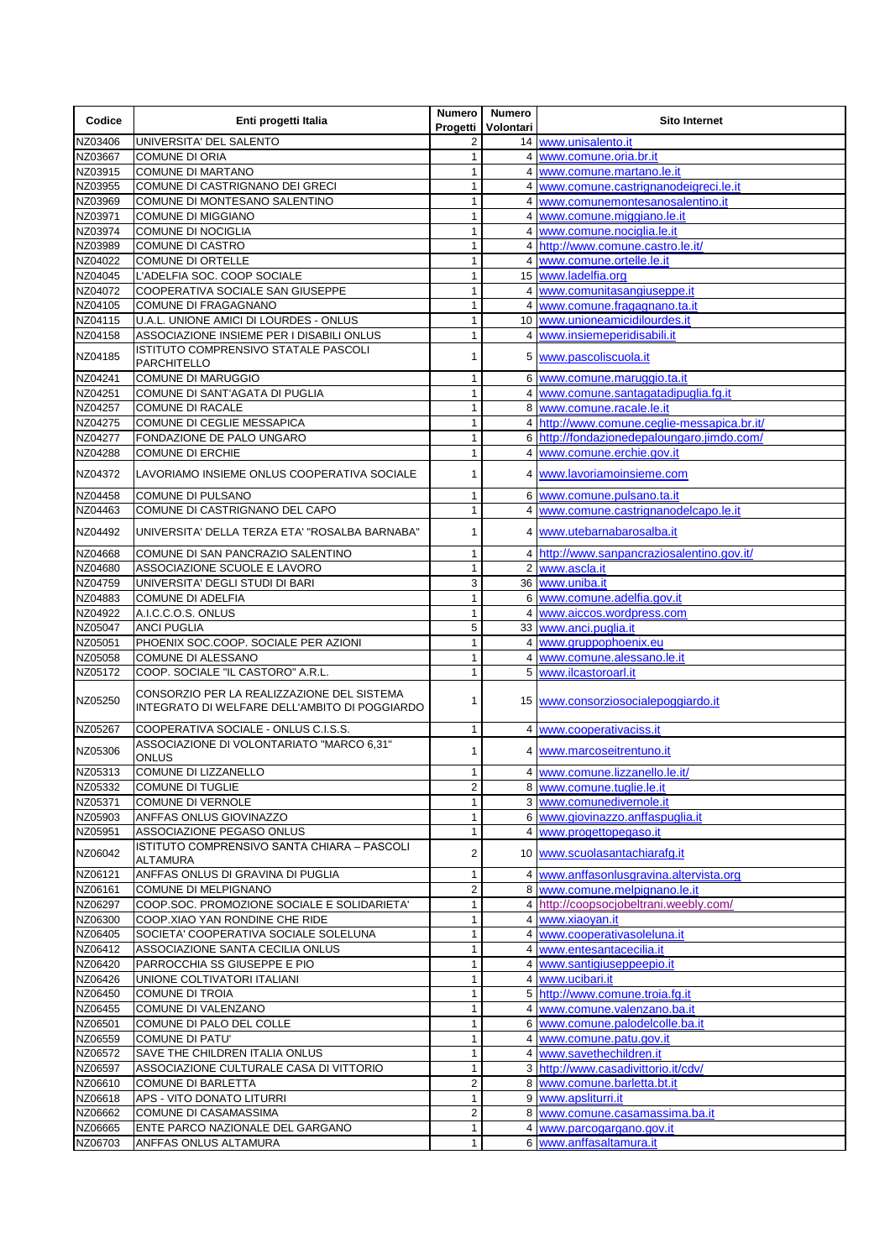| Codice             | Enti progetti Italia                                                                        | Numero  <br>Progetti | <b>Numero</b><br>Volontari | <b>Sito Internet</b>                                                                      |
|--------------------|---------------------------------------------------------------------------------------------|----------------------|----------------------------|-------------------------------------------------------------------------------------------|
| NZ03406            | UNIVERSITA' DEL SALENTO                                                                     |                      |                            | 14 www.unisalento.it                                                                      |
| NZ03667            | <b>COMUNE DI ORIA</b>                                                                       |                      |                            | 4 www.comune.oria.br.it                                                                   |
| NZ03915            | <b>COMUNE DI MARTANO</b><br>COMUNE DI CASTRIGNANO DEI GRECI                                 |                      |                            | 4 www.comune.martano.le.it                                                                |
| NZ03955<br>NZ03969 | COMUNE DI MONTESANO SALENTINO                                                               |                      |                            | 4 www.comune.castrignanodeigreci.le.it<br>4 www.comunemontesanosalentino.it               |
| NZ03971            | <b>COMUNE DI MIGGIANO</b>                                                                   |                      |                            | 4 www.comune.miggiano.le.it                                                               |
| NZ03974            | <b>COMUNE DI NOCIGLIA</b>                                                                   |                      |                            | 4 www.comune.nociglia.le.it                                                               |
| NZ03989            | <b>COMUNE DI CASTRO</b>                                                                     | 1                    |                            | 4 http://www.comune.castro.le.it/                                                         |
| NZ04022            | <b>COMUNE DI ORTELLE</b>                                                                    | 1                    |                            | 4 www.comune.ortelle.le.it                                                                |
| NZ04045            | L'ADELFIA SOC. COOP SOCIALE                                                                 |                      |                            | 15 www.ladelfia.org                                                                       |
| NZ04072            | COOPERATIVA SOCIALE SAN GIUSEPPE                                                            |                      |                            | 4 www.comunitasangiuseppe.it                                                              |
| NZ04105<br>NZ04115 | <b>COMUNE DI FRAGAGNANO</b><br>U.A.L. UNIONE AMICI DI LOURDES - ONLUS                       | 1                    |                            | 4 www.comune.fragagnano.ta.it<br>10 www.unioneamicidilourdes.it                           |
| NZ04158            | ASSOCIAZIONE INSIEME PER I DISABILI ONLUS                                                   |                      |                            | 4 www.insiemeperidisabili.it                                                              |
|                    | ISTITUTO COMPRENSIVO STATALE PASCOLI                                                        |                      |                            |                                                                                           |
| NZ04185            | <b>PARCHITELLO</b>                                                                          |                      |                            | 5 www.pascoliscuola.it                                                                    |
| NZ04241            | <b>COMUNE DI MARUGGIO</b>                                                                   | 1                    |                            | 6 www.comune.maruggio.ta.it                                                               |
| NZ04251            | COMUNE DI SANT'AGATA DI PUGLIA                                                              | 1                    |                            | 4 www.comune.santagatadipuglia.fg.it                                                      |
| NZ04257            | <b>COMUNE DI RACALE</b>                                                                     |                      |                            | 8 www.comune.racale.le.it                                                                 |
| NZ04275<br>NZ04277 | COMUNE DI CEGLIE MESSAPICA<br>FONDAZIONE DE PALO UNGARO                                     |                      |                            | 4 http://www.comune.ceglie-messapica.br.it/<br>6 http://fondazionedepaloungaro.jimdo.com/ |
| NZ04288            | <b>COMUNE DI ERCHIE</b>                                                                     |                      |                            | 4 www.comune.erchie.gov.it                                                                |
|                    |                                                                                             |                      |                            |                                                                                           |
| NZ04372            | LAVORIAMO INSIEME ONLUS COOPERATIVA SOCIALE                                                 |                      |                            | 4 www.lavoriamoinsieme.com                                                                |
| NZ04458<br>NZ04463 | COMUNE DI PULSANO<br>COMUNE DI CASTRIGNANO DEL CAPO                                         | 1                    |                            | 6 www.comune.pulsano.ta.it<br>4 www.comune.castrignanodelcapo.le.it                       |
|                    |                                                                                             |                      |                            |                                                                                           |
| NZ04492            | UNIVERSITA' DELLA TERZA ETA' "ROSALBA BARNABA"                                              |                      |                            | 4 www.utebarnabarosalba.it                                                                |
| NZ04668            | COMUNE DI SAN PANCRAZIO SALENTINO                                                           | 1                    |                            | 4 http://www.sanpancraziosalentino.gov.it/                                                |
| NZ04680            | ASSOCIAZIONE SCUOLE E LAVORO                                                                | 1                    |                            | 2 www.ascla.it                                                                            |
| NZ04759<br>NZ04883 | UNIVERSITA' DEGLI STUDI DI BARI<br><b>COMUNE DI ADELFIA</b>                                 | 3<br>1               |                            | 36 www.uniba.it<br>6 www.comune.adelfia.gov.it                                            |
| NZ04922            | A.I.C.C.O.S. ONLUS                                                                          | 1                    |                            | 4 www.aiccos.wordpress.com                                                                |
| NZ05047            | <b>ANCI PUGLIA</b>                                                                          | 5                    |                            | 33 www.anci.puglia.it                                                                     |
| NZ05051            | PHOENIX SOC.COOP. SOCIALE PER AZIONI                                                        | $\mathbf{1}$         |                            | 4 www.gruppophoenix.eu                                                                    |
| NZ05058            | COMUNE DI ALESSANO                                                                          |                      |                            | 4 www.comune.alessano.le.it                                                               |
| NZ05172            | COOP. SOCIALE "IL CASTORO" A.R.L.                                                           |                      |                            | 5 www.ilcastoroarl.it                                                                     |
| NZ05250            | CONSORZIO PER LA REALIZZAZIONE DEL SISTEMA<br>INTEGRATO DI WELFARE DELL'AMBITO DI POGGIARDO |                      |                            | 15 www.consorziosocialepoggiardo.it                                                       |
| NZ05267            | COOPERATIVA SOCIALE - ONLUS C.I.S.S.                                                        | 1                    |                            | 4 www.cooperativaciss.it                                                                  |
| NZ05306            | ASSOCIAZIONE DI VOLONTARIATO "MARCO 6,31"<br><b>ONLUS</b>                                   |                      |                            | 4 www.marcoseitrentuno.it                                                                 |
| NZ05313            | COMUNE DI LIZZANELLO                                                                        |                      |                            | 4 www.comune.lizzanello.le.it/                                                            |
| NZ05332            | <b>COMUNE DI TUGLIE</b>                                                                     | $\overline{c}$       |                            | 8 www.comune.tuglie.le.it                                                                 |
| NZ05371            | <b>COMUNE DI VERNOLE</b>                                                                    |                      |                            | 3 www.comunedivernole.it                                                                  |
| NZ05903            | ANFFAS ONLUS GIOVINAZZO                                                                     |                      |                            | 6 www.giovinazzo.anffaspuglia.it                                                          |
| NZ05951            | ASSOCIAZIONE PEGASO ONLUS<br>ISTITUTO COMPRENSIVO SANTA CHIARA - PASCOLI                    |                      |                            | 4 www.progettopegaso.it                                                                   |
| NZ06042            | ALTAMURA                                                                                    | 2                    |                            | 10 www.scuolasantachiarafg.it                                                             |
| NZ06121            | ANFFAS ONLUS DI GRAVINA DI PUGLIA                                                           |                      |                            | 4 www.anffasonlusgravina.altervista.org                                                   |
| NZ06161            | COMUNE DI MELPIGNANO                                                                        | 2                    |                            | 8 www.comune.melpignano.le.it                                                             |
| NZ06297<br>NZ06300 | COOP.SOC. PROMOZIONE SOCIALE E SOLIDARIETA'<br>COOP. XIAO YAN RONDINE CHE RIDE              |                      |                            | 4 http://coopsocjobeltrani.weebly.com/<br>4 www.xiaoyan.it                                |
| NZ06405            | SOCIETA' COOPERATIVA SOCIALE SOLELUNA                                                       |                      |                            | 4 www.cooperativasoleluna.it                                                              |
| NZ06412            | ASSOCIAZIONE SANTA CECILIA ONLUS                                                            |                      |                            | 4 www.entesantacecilia.it                                                                 |
| NZ06420            | PARROCCHIA SS GIUSEPPE E PIO                                                                |                      |                            | 4 www.santigiuseppeepio.it                                                                |
| NZ06426            | UNIONE COLTIVATORI ITALIANI                                                                 |                      |                            | 4 www.ucibari.it                                                                          |
| NZ06450            | <b>COMUNE DI TROIA</b>                                                                      |                      |                            | 5 http://www.comune.troia.fg.it                                                           |
| NZ06455            | COMUNE DI VALENZANO                                                                         |                      |                            | 4 www.comune.valenzano.ba.it                                                              |
| NZ06501            | COMUNE DI PALO DEL COLLE                                                                    |                      |                            | 6 www.comune.palodelcolle.ba.it                                                           |
| NZ06559            | <b>COMUNE DI PATU'</b><br>SAVE THE CHILDREN ITALIA ONLUS                                    |                      |                            | 4 www.comune.patu.gov.it<br>4 www.savethechildren.it                                      |
| NZ06572<br>NZ06597 | ASSOCIAZIONE CULTURALE CASA DI VITTORIO                                                     |                      |                            | 3 http://www.casadivittorio.it/cdv/                                                       |
| NZ06610            | <b>COMUNE DI BARLETTA</b>                                                                   | 2                    |                            | 8 www.comune.barletta.bt.it                                                               |
| NZ06618            | APS - VITO DONATO LITURRI                                                                   |                      |                            | 9 www.apsliturri.it                                                                       |
| NZ06662            | COMUNE DI CASAMASSIMA                                                                       | 2                    |                            | 8 www.comune.casamassima.ba.it                                                            |
| NZ06665            | <b>ENTE PARCO NAZIONALE DEL GARGANO</b>                                                     |                      |                            | 4 www.parcogargano.gov.it                                                                 |
| NZ06703            | ANFFAS ONLUS ALTAMURA                                                                       | 1                    |                            | 6 www.anffasaltamura.it                                                                   |